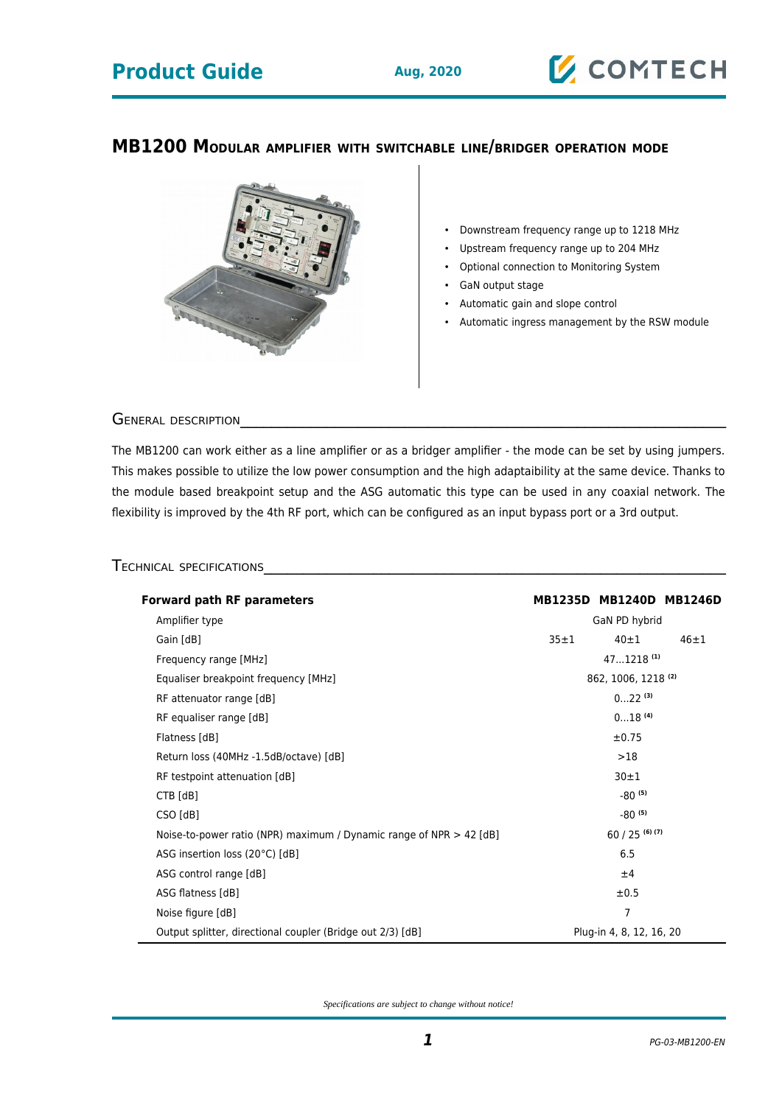## **Product Guide Aug, 2020**

### **MB1200 MODULAR AMPLIFIER WITH SWITCHABLE LINE/BRIDGER OPERATION MODE**



- Downstream frequency range up to 1218 MHz
- Upstream frequency range up to 204 MHz
- Optional connection to Monitoring System
- GaN output stage
- Automatic gain and slope control
- Automatic ingress management by the RSW module

GENERAL DESCRIPTION

The MB1200 can work either as a line amplifier or as a bridger amplifier - the mode can be set by using jumpers. This makes possible to utilize the low power consumption and the high adaptaibility at the same device. Thanks to the module based breakpoint setup and the ASG automatic this type can be used in any coaxial network. The flexibility is improved by the 4th RF port, which can be configured as an input bypass port or a 3rd output.

### TECHNICAL SPECIFICATIONS

| <b>Forward path RF parameters</b>                                     |                              | MB1235D MB1240D MB1246D |  |
|-----------------------------------------------------------------------|------------------------------|-------------------------|--|
| Amplifier type                                                        | GaN PD hybrid                |                         |  |
| Gain [dB]                                                             | 35±1<br>$40 + 1$<br>$46 + 1$ |                         |  |
| Frequency range [MHz]                                                 | $471218$ <sup>(1)</sup>      |                         |  |
| Equaliser breakpoint frequency [MHz]                                  | 862, 1006, 1218 (2)          |                         |  |
| RF attenuator range [dB]                                              | $022^{(3)}$                  |                         |  |
| RF equaliser range [dB]                                               | $018$ <sup>(4)</sup>         |                         |  |
| Flatness [dB]                                                         | ±0.75                        |                         |  |
| Return loss (40MHz -1.5dB/octave) [dB]                                | >18                          |                         |  |
| RF testpoint attenuation [dB]                                         | 30±1                         |                         |  |
| $CTB$ $[dB]$                                                          | $-80^{(5)}$                  |                         |  |
| CSO [dB]                                                              | $-80^{(5)}$                  |                         |  |
| Noise-to-power ratio (NPR) maximum / Dynamic range of NPR $>$ 42 [dB] | $60/25$ (6) (7)              |                         |  |
| ASG insertion loss (20°C) [dB]                                        | 6.5                          |                         |  |
| ASG control range [dB]                                                | ±4                           |                         |  |
| ASG flatness [dB]                                                     | ±0.5                         |                         |  |
| Noise figure [dB]                                                     | 7                            |                         |  |
| Output splitter, directional coupler (Bridge out 2/3) [dB]            | Plug-in 4, 8, 12, 16, 20     |                         |  |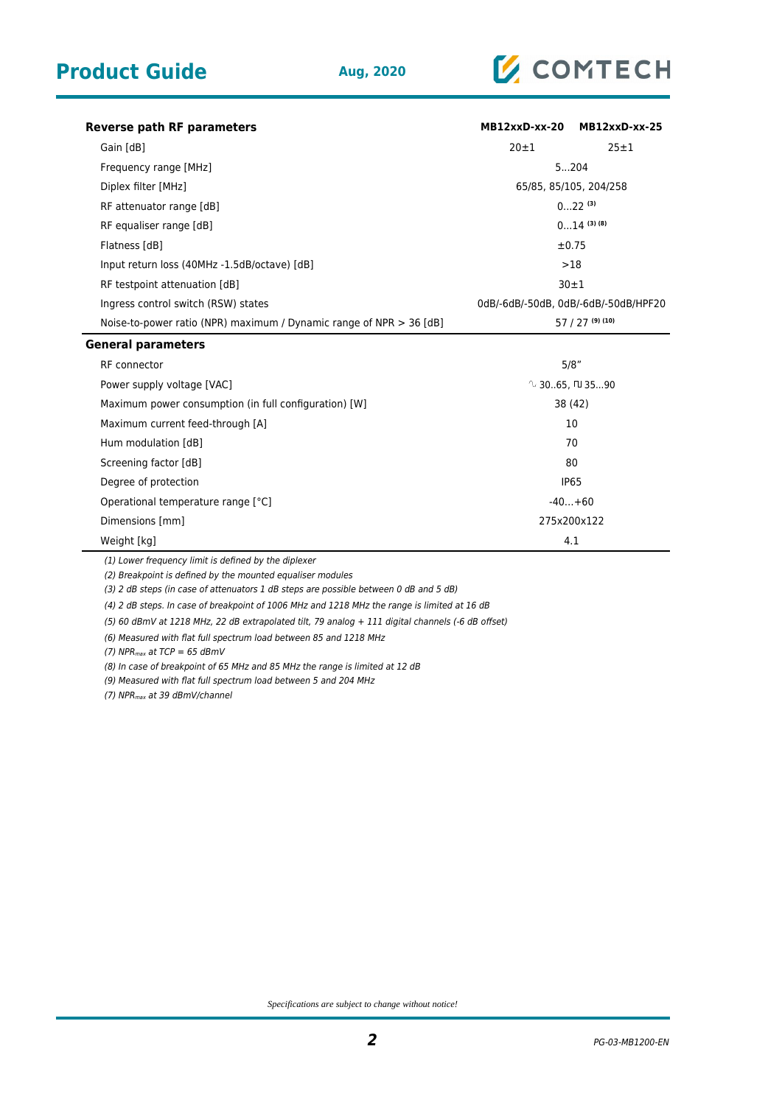

| <b>Reverse path RF parameters</b>                                     |                                      | MB12xxD-xx-20 MB12xxD-xx-25 |  |
|-----------------------------------------------------------------------|--------------------------------------|-----------------------------|--|
| Gain [dB]                                                             | $20 + 1$                             | $25 \pm 1$                  |  |
| Frequency range [MHz]                                                 | 5204                                 |                             |  |
| Diplex filter [MHz]                                                   | 65/85, 85/105, 204/258               |                             |  |
| RF attenuator range [dB]                                              | $022$ (3)                            |                             |  |
| RF equaliser range [dB]                                               | $014$ (3) (8)                        |                             |  |
| Flatness [dB]                                                         | $\pm 0.75$                           |                             |  |
| Input return loss (40MHz -1.5dB/octave) [dB]                          | >18                                  |                             |  |
| RF testpoint attenuation [dB]                                         | 30±1                                 |                             |  |
| Ingress control switch (RSW) states                                   | 0dB/-6dB/-50dB, 0dB/-6dB/-50dB/HPF20 |                             |  |
| Noise-to-power ratio (NPR) maximum / Dynamic range of NPR $>$ 36 [dB] | $57/27$ (9) (10)                     |                             |  |
| <b>General parameters</b>                                             |                                      |                             |  |
| RF connector                                                          | 5/8"                                 |                             |  |
| Power supply voltage [VAC]                                            | $\sqrt{2}$ 3065. [U 3590]            |                             |  |
| Maximum power consumption (in full configuration) [W]                 | 38 (42)                              |                             |  |
| Maximum current feed-through [A]                                      | 10                                   |                             |  |
| Hum modulation [dB]                                                   | 70                                   |                             |  |
| Screening factor [dB]                                                 | 80                                   |                             |  |
| Degree of protection                                                  | <b>IP65</b>                          |                             |  |
| Operational temperature range [°C]                                    | $-40+60$                             |                             |  |
| Dimensions [mm]                                                       | 275x200x122                          |                             |  |
| Weight [kg]                                                           | 4.1                                  |                             |  |

(1) Lower frequency limit is defined by the diplexer

(2) Breakpoint is defined by the mounted equaliser modules

(3) 2 dB steps (in case of attenuators 1 dB steps are possible between 0 dB and 5 dB)

(4) 2 dB steps. In case of breakpoint of 1006 MHz and 1218 MHz the range is limited at 16 dB

(5) 60 dBmV at 1218 MHz, 22 dB extrapolated tilt, 79 analog + 111 digital channels (-6 dB offset)

(6) Measured with flat full spectrum load between 85 and 1218 MHz

(7)  $NPR_{max}$  at TCP = 65 dBmV

(8) In case of breakpoint of 65 MHz and 85 MHz the range is limited at 12 dB

(9) Measured with flat full spectrum load between 5 and 204 MHz

(7) NPR<sub>max</sub> at 39 dBmV/channel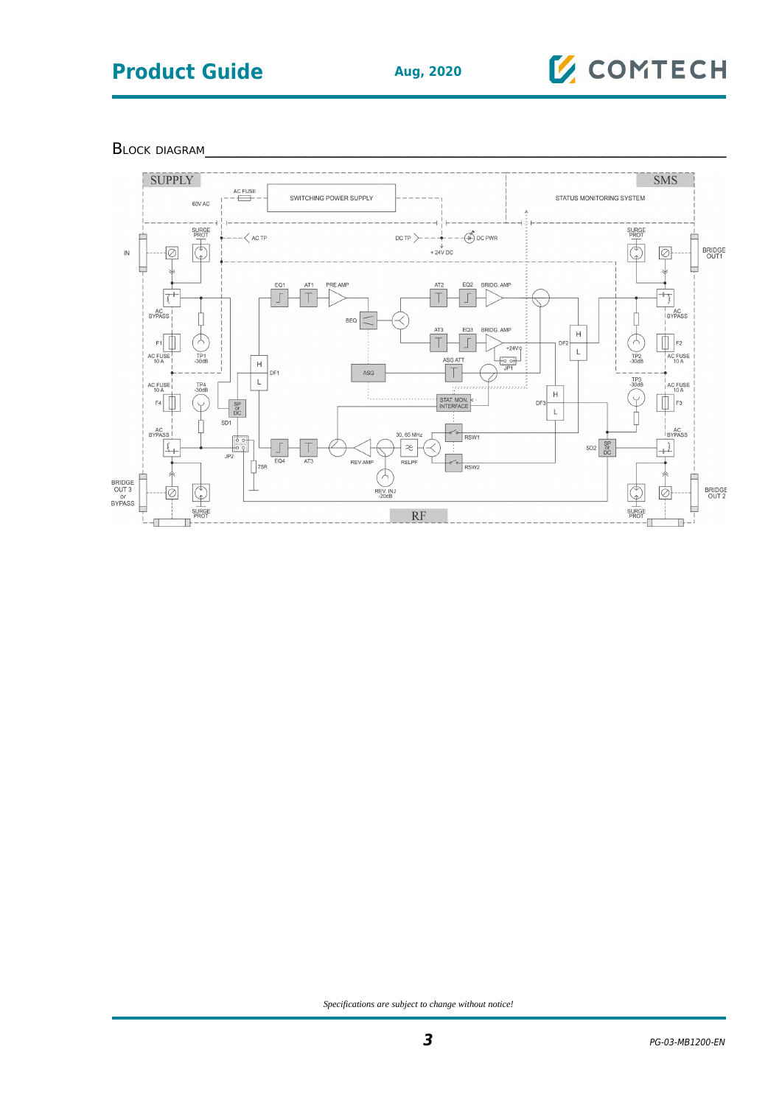## **Product Guide Aug, 2020**

# **V** COMTECH

BLOCK DIAGRAM